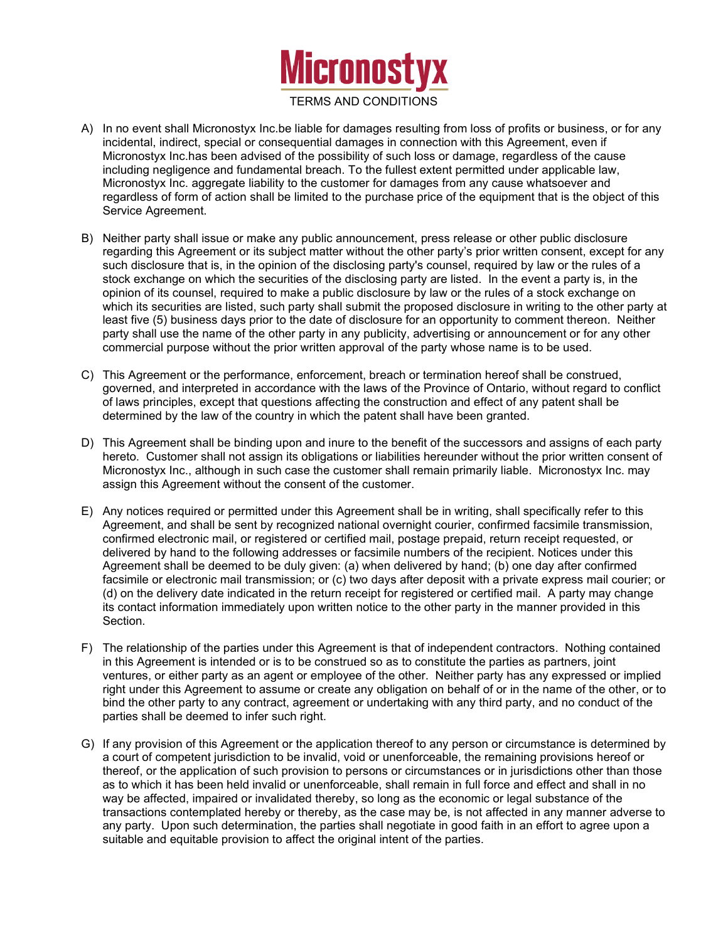

## TERMS AND CONDITIONS

- A) In no event shall Micronostyx Inc.be liable for damages resulting from loss of profits or business, or for any incidental, indirect, special or consequential damages in connection with this Agreement, even if Micronostyx Inc.has been advised of the possibility of such loss or damage, regardless of the cause including negligence and fundamental breach. To the fullest extent permitted under applicable law, Micronostyx Inc. aggregate liability to the customer for damages from any cause whatsoever and regardless of form of action shall be limited to the purchase price of the equipment that is the object of this Service Agreement.
- B) Neither party shall issue or make any public announcement, press release or other public disclosure regarding this Agreement or its subject matter without the other party's prior written consent, except for any such disclosure that is, in the opinion of the disclosing party's counsel, required by law or the rules of a stock exchange on which the securities of the disclosing party are listed. In the event a party is, in the opinion of its counsel, required to make a public disclosure by law or the rules of a stock exchange on which its securities are listed, such party shall submit the proposed disclosure in writing to the other party at least five (5) business days prior to the date of disclosure for an opportunity to comment thereon. Neither party shall use the name of the other party in any publicity, advertising or announcement or for any other commercial purpose without the prior written approval of the party whose name is to be used.
- C) This Agreement or the performance, enforcement, breach or termination hereof shall be construed, governed, and interpreted in accordance with the laws of the Province of Ontario, without regard to conflict of laws principles, except that questions affecting the construction and effect of any patent shall be determined by the law of the country in which the patent shall have been granted.
- D) This Agreement shall be binding upon and inure to the benefit of the successors and assigns of each party hereto. Customer shall not assign its obligations or liabilities hereunder without the prior written consent of Micronostyx Inc., although in such case the customer shall remain primarily liable. Micronostyx Inc. may assign this Agreement without the consent of the customer.
- E) Any notices required or permitted under this Agreement shall be in writing, shall specifically refer to this Agreement, and shall be sent by recognized national overnight courier, confirmed facsimile transmission, confirmed electronic mail, or registered or certified mail, postage prepaid, return receipt requested, or delivered by hand to the following addresses or facsimile numbers of the recipient. Notices under this Agreement shall be deemed to be duly given: (a) when delivered by hand; (b) one day after confirmed facsimile or electronic mail transmission; or (c) two days after deposit with a private express mail courier; or (d) on the delivery date indicated in the return receipt for registered or certified mail. A party may change its contact information immediately upon written notice to the other party in the manner provided in this Section.
- F) The relationship of the parties under this Agreement is that of independent contractors. Nothing contained in this Agreement is intended or is to be construed so as to constitute the parties as partners, joint ventures, or either party as an agent or employee of the other. Neither party has any expressed or implied right under this Agreement to assume or create any obligation on behalf of or in the name of the other, or to bind the other party to any contract, agreement or undertaking with any third party, and no conduct of the parties shall be deemed to infer such right.
- G) If any provision of this Agreement or the application thereof to any person or circumstance is determined by a court of competent jurisdiction to be invalid, void or unenforceable, the remaining provisions hereof or thereof, or the application of such provision to persons or circumstances or in jurisdictions other than those as to which it has been held invalid or unenforceable, shall remain in full force and effect and shall in no way be affected, impaired or invalidated thereby, so long as the economic or legal substance of the transactions contemplated hereby or thereby, as the case may be, is not affected in any manner adverse to any party. Upon such determination, the parties shall negotiate in good faith in an effort to agree upon a suitable and equitable provision to affect the original intent of the parties.